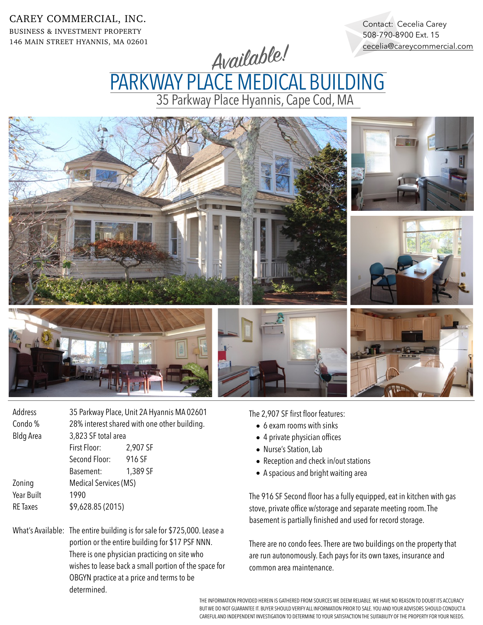CAREY COMMERCIAL, INC. BUSINESS & INVESTMENT PROPERTY 146 MAIN STREET HYANNIS, MA 02601

Contact: Cecelia Carey 508-790-8900 Ext. 15 [cecelia@careycommercial.com](mailto:cecelia@careycommercial.com?subject=Sandwich%20Antiques%20Center)

Available!

35 Parkway Place Hyannis, Cape Cod, MA PARKWAY PLACE MEDICAL BUILDING



| Address          | 35 Parkway Place, Unit 2A Hyannis MA 02601   |          |
|------------------|----------------------------------------------|----------|
| Condo %          | 28% interest shared with one other building. |          |
| <b>Bldg Area</b> | 3,823 SF total area                          |          |
|                  | First Floor:                                 | 2,907 SF |
|                  | Second Floor:                                | 916 SF   |
|                  | Basement:                                    | 1,389 SF |
| Zoning           | Medical Services (MS)                        |          |
| Year Built       | 1990                                         |          |
| <b>RE</b> Taxes  | \$9,628.85 (2015)                            |          |
|                  |                                              |          |

What's Available: The entire building is for sale for \$725,000. Lease a portion or the entire building for \$17 PSF NNN. There is one physician practicing on site who wishes to lease back a small portion of the space for OBGYN practice at a price and terms to be determined.

The 2,907 SF first floor features:

- 6 exam rooms with sinks
- 4 private physician offices
- Nurse's Station, Lab
- Reception and check in/out stations
- A spacious and bright waiting area

The 916 SF Second floor has a fully equipped, eat in kitchen with gas stove, private office w/storage and separate meeting room. The basement is partially finished and used for record storage.

There are no condo fees. There are two buildings on the property that are run autonomously. Each pays for its own taxes, insurance and common area maintenance.

THE INFORMATION PROVIDED HEREIN IS GATHERED FROM SOURCES WE DEEM RELIABLE. WE HAVE NO REASON TO DOUBT ITS ACCURACY BUT WE DO NOT GUARANTEE IT. BUYER SHOULD VERIFY ALL INFORMATION PRIOR TO SALE. YOU AND YOUR ADVISORS SHOULD CONDUCT A CAREFUL AND INDEPENDENT INVESTIGATION TO DETERMINE TO YOUR SATISFACTION THE SUITABILITY OF THE PROPERTY FOR YOUR NEEDS.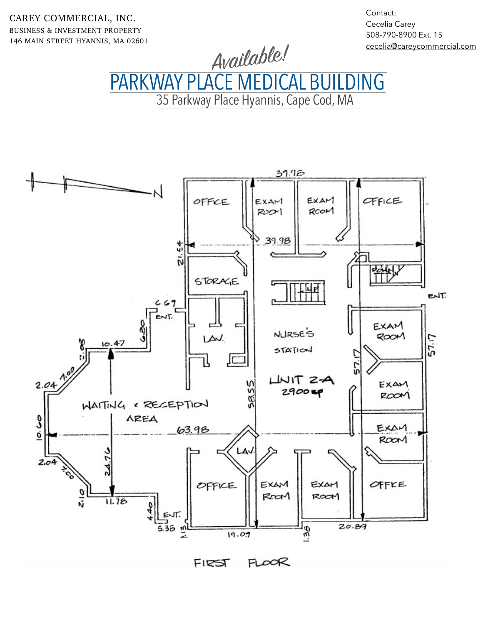CAREY COMMERCIAL, INC. BUSINESS & INVESTMENT PROPERTY 146 MAIN STREET HYANNIS, MA 02601 Contact: Cecelia Carey 508-790-8900 Ext. 15 [cecelia@careycommercial.com](mailto:cecelia@careycommercial.com?subject=Sandwich%20Antiques%20Center)

Available!

35 Parkway Place Hyannis, Cape Cod, MA PARKWAY PLACE MEDICAL BUILDING